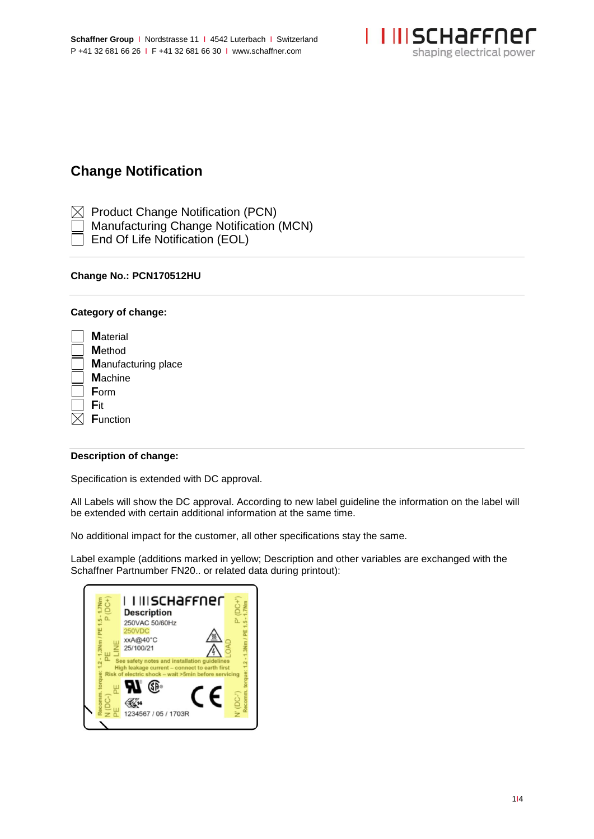

# **Change Notification**

 $\boxtimes$  Product Change Notification (PCN)

Manufacturing Change Notification (MCN)

End Of Life Notification (EOL)

## **Change No.: PCN170512HU**

## **Category of change:**

| <b>Material</b>            |
|----------------------------|
| <b>Method</b>              |
| <b>Manufacturing place</b> |
| <b>Machine</b>             |
| Form                       |
| Fit                        |
| <b>Function</b>            |

### **Description of change:**

Specification is extended with DC approval.

All Labels will show the DC approval. According to new label guideline the information on the label will be extended with certain additional information at the same time.

No additional impact for the customer, all other specifications stay the same.

Label example (additions marked in yellow; Description and other variables are exchanged with the Schaffner Partnumber FN20.. or related data during printout):

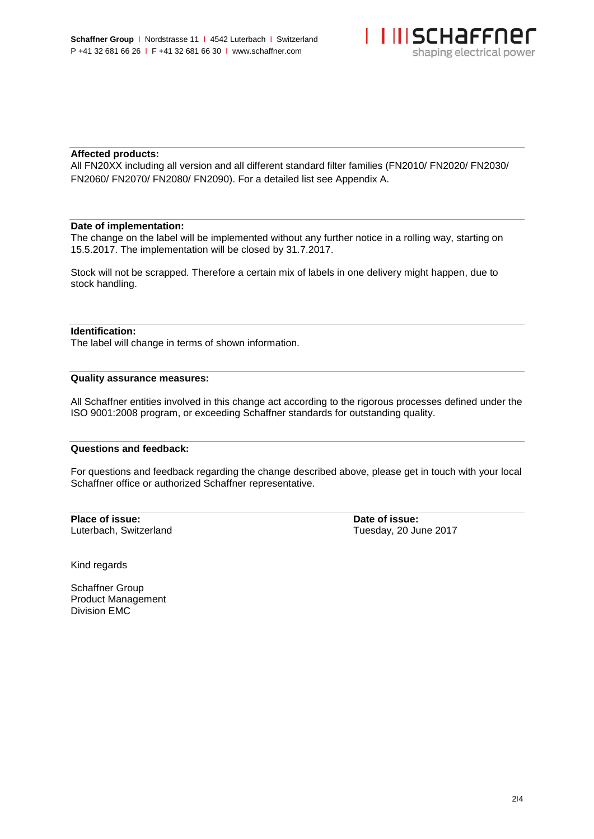

#### **Affected products:**

All FN20XX including all version and all different standard filter families (FN2010/ FN2020/ FN2030/ FN2060/ FN2070/ FN2080/ FN2090). For a detailed list see Appendix A.

#### **Date of implementation:**

The change on the label will be implemented without any further notice in a rolling way, starting on 15.5.2017. The implementation will be closed by 31.7.2017.

Stock will not be scrapped. Therefore a certain mix of labels in one delivery might happen, due to stock handling.

#### **Identification:**

The label will change in terms of shown information.

#### **Quality assurance measures:**

All Schaffner entities involved in this change act according to the rigorous processes defined under the ISO 9001:2008 program, or exceeding Schaffner standards for outstanding quality.

### **Questions and feedback:**

For questions and feedback regarding the change described above, please get in touch with your local Schaffner office or authorized Schaffner representative.

**Place of issue: Date of issue:**

Luterbach, Switzerland Tuesday, 20 June 2017

Kind regards

Schaffner Group Product Management Division EMC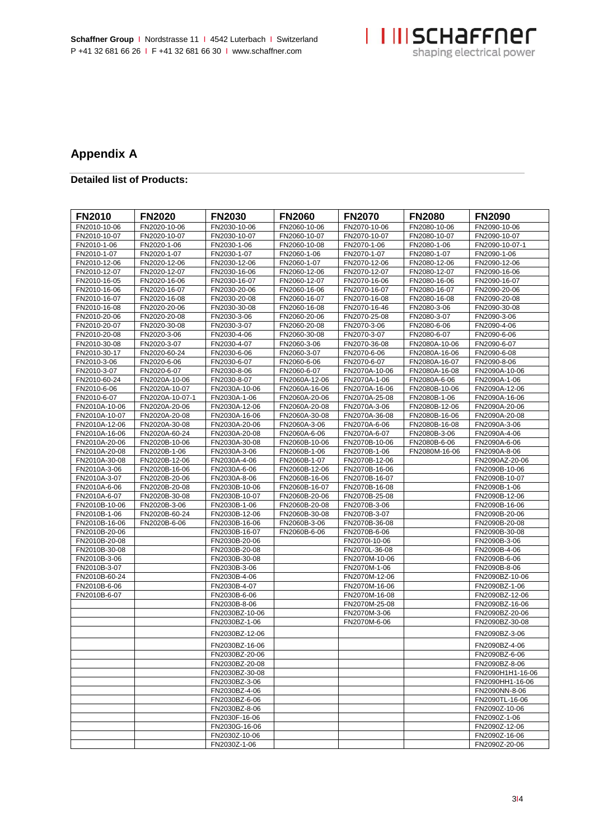

# **Appendix A**

## **Detailed list of Products:**

| <b>FN2010</b>                | <b>FN2020</b>                 | <b>FN2030</b>                | <b>FN2060</b>                  | <b>FN2070</b>                  | <b>FN2080</b> | <b>FN2090</b>                  |
|------------------------------|-------------------------------|------------------------------|--------------------------------|--------------------------------|---------------|--------------------------------|
| FN2010-10-06                 | FN2020-10-06                  | FN2030-10-06                 | FN2060-10-06                   | FN2070-10-06                   | FN2080-10-06  | FN2090-10-06                   |
| FN2010-10-07                 | FN2020-10-07                  | FN2030-10-07                 | FN2060-10-07                   | FN2070-10-07                   | FN2080-10-07  | FN2090-10-07                   |
| FN2010-1-06                  | FN2020-1-06                   | FN2030-1-06                  | FN2060-10-08                   | FN2070-1-06                    | FN2080-1-06   | FN2090-10-07-1                 |
| FN2010-1-07                  | FN2020-1-07                   | FN2030-1-07                  | FN2060-1-06                    | FN2070-1-07                    | FN2080-1-07   | FN2090-1-06                    |
| FN2010-12-06                 | FN2020-12-06                  | FN2030-12-06                 | FN2060-1-07                    | FN2070-12-06                   | FN2080-12-06  | FN2090-12-06                   |
| FN2010-12-07                 | FN2020-12-07                  | FN2030-16-06                 | FN2060-12-06                   | FN2070-12-07                   | FN2080-12-07  | FN2090-16-06                   |
| FN2010-16-05                 | FN2020-16-06                  | FN2030-16-07                 | FN2060-12-07                   | FN2070-16-06                   | FN2080-16-06  | FN2090-16-07                   |
| FN2010-16-06                 | FN2020-16-07                  | FN2030-20-06                 | FN2060-16-06                   | FN2070-16-07                   | FN2080-16-07  | FN2090-20-06                   |
| FN2010-16-07                 | FN2020-16-08                  | FN2030-20-08                 | FN2060-16-07                   | FN2070-16-08                   | FN2080-16-08  | FN2090-20-08                   |
| FN2010-16-08                 | FN2020-20-06                  | FN2030-30-08                 | FN2060-16-08                   | FN2070-16-46                   | FN2080-3-06   | FN2090-30-08                   |
| FN2010-20-06                 | FN2020-20-08                  | FN2030-3-06                  | FN2060-20-06                   | FN2070-25-08                   | FN2080-3-07   | FN2090-3-06                    |
| FN2010-20-07                 | FN2020-30-08                  | FN2030-3-07                  | FN2060-20-08                   | FN2070-3-06                    | FN2080-6-06   | FN2090-4-06                    |
| FN2010-20-08                 | FN2020-3-06                   | FN2030-4-06                  | FN2060-30-08                   | FN2070-3-07                    | FN2080-6-07   | FN2090-6-06                    |
| FN2010-30-08                 | FN2020-3-07                   | FN2030-4-07                  | FN2060-3-06                    | FN2070-36-08                   | FN2080A-10-06 | FN2090-6-07                    |
| FN2010-30-17                 | FN2020-60-24                  | FN2030-6-06                  | FN2060-3-07                    | FN2070-6-06                    | FN2080A-16-06 | FN2090-6-08                    |
| FN2010-3-06                  | FN2020-6-06                   | FN2030-6-07                  | FN2060-6-06                    | FN2070-6-07                    | FN2080A-16-07 | FN2090-8-06                    |
| FN2010-3-07                  | FN2020-6-07                   | FN2030-8-06                  | FN2060-6-07                    | FN2070A-10-06                  | FN2080A-16-08 | FN2090A-10-06                  |
| FN2010-60-24                 | FN2020A-10-06                 | FN2030-8-07                  | FN2060A-12-06                  | FN2070A-1-06                   | FN2080A-6-06  | FN2090A-1-06                   |
| FN2010-6-06                  | FN2020A-10-07                 | FN2030A-10-06                | FN2060A-16-06                  | FN2070A-16-06                  | FN2080B-10-06 | FN2090A-12-06                  |
| FN2010-6-07                  | FN2020A-10-07-1               | FN2030A-1-06                 | FN2060A-20-06                  | FN2070A-25-08                  | FN2080B-1-06  | FN2090A-16-06                  |
| FN2010A-10-06                | FN2020A-20-06                 | FN2030A-12-06                | FN2060A-20-08                  | FN2070A-3-06                   | FN2080B-12-06 | FN2090A-20-06                  |
| FN2010A-10-07                | FN2020A-20-08                 | FN2030A-16-06                | FN2060A-30-08                  | FN2070A-36-08                  | FN2080B-16-06 | FN2090A-20-08                  |
| FN2010A-12-06                | FN2020A-30-08                 | FN2030A-20-06                | FN2060A-3-06                   | FN2070A-6-06                   | FN2080B-16-08 | FN2090A-3-06                   |
| FN2010A-16-06                | FN2020A-60-24                 | FN2030A-20-08                | FN2060A-6-06                   | FN2070A-6-07<br>FN2070B-10-06  | FN2080B-3-06  | FN2090A-4-06<br>FN2090A-6-06   |
| FN2010A-20-06                | FN2020B-10-06                 | FN2030A-30-08                | FN2060B-10-06                  |                                | FN2080B-6-06  |                                |
| FN2010A-20-08                | FN2020B-1-06<br>FN2020B-12-06 | FN2030A-3-06                 | FN2060B-1-06                   | FN2070B-1-06                   | FN2080M-16-06 | FN2090A-8-06                   |
| FN2010A-30-08                | FN2020B-16-06                 | FN2030A-4-06<br>FN2030A-6-06 | FN2060B-1-07                   | FN2070B-12-06                  |               | FN2090AZ-20-06                 |
| FN2010A-3-06<br>FN2010A-3-07 | FN2020B-20-06                 | FN2030A-8-06                 | FN2060B-12-06<br>FN2060B-16-06 | FN2070B-16-06<br>FN2070B-16-07 |               | FN2090B-10-06<br>FN2090B-10-07 |
| FN2010A-6-06                 | FN2020B-20-08                 | FN2030B-10-06                | FN2060B-16-07                  | FN2070B-16-08                  |               | FN2090B-1-06                   |
| FN2010A-6-07                 | FN2020B-30-08                 | FN2030B-10-07                | FN2060B-20-06                  | FN2070B-25-08                  |               | FN2090B-12-06                  |
| FN2010B-10-06                | FN2020B-3-06                  | FN2030B-1-06                 | FN2060B-20-08                  | FN2070B-3-06                   |               | FN2090B-16-06                  |
| FN2010B-1-06                 | FN2020B-60-24                 | FN2030B-12-06                | FN2060B-30-08                  | FN2070B-3-07                   |               | FN2090B-20-06                  |
| FN2010B-16-06                | FN2020B-6-06                  | FN2030B-16-06                | FN2060B-3-06                   | FN2070B-36-08                  |               | FN2090B-20-08                  |
| FN2010B-20-06                |                               | FN2030B-16-07                | FN2060B-6-06                   | FN2070B-6-06                   |               | FN2090B-30-08                  |
| FN2010B-20-08                |                               | FN2030B-20-06                |                                | FN2070I-10-06                  |               | FN2090B-3-06                   |
| FN2010B-30-08                |                               | FN2030B-20-08                |                                | FN2070L-36-08                  |               | FN2090B-4-06                   |
| FN2010B-3-06                 |                               | FN2030B-30-08                |                                | FN2070M-10-06                  |               | FN2090B-6-06                   |
| FN2010B-3-07                 |                               | FN2030B-3-06                 |                                | FN2070M-1-06                   |               | FN2090B-8-06                   |
| FN2010B-60-24                |                               | FN2030B-4-06                 |                                | FN2070M-12-06                  |               | FN2090BZ-10-06                 |
| FN2010B-6-06                 |                               | FN2030B-4-07                 |                                | FN2070M-16-06                  |               | FN2090BZ-1-06                  |
| FN2010B-6-07                 |                               | FN2030B-6-06                 |                                | FN2070M-16-08                  |               | FN2090BZ-12-06                 |
|                              |                               | FN2030B-8-06                 |                                | FN2070M-25-08                  |               | FN2090BZ-16-06                 |
|                              |                               | FN2030BZ-10-06               |                                | FN2070M-3-06                   |               | FN2090BZ-20-06                 |
|                              |                               | FN2030BZ-1-06                |                                | FN2070M-6-06                   |               | FN2090BZ-30-08                 |
|                              |                               | FN2030BZ-12-06               |                                |                                |               | FN2090BZ-3-06                  |
|                              |                               | FN2030BZ-16-06               |                                |                                |               | FN2090BZ-4-06                  |
|                              |                               | FN2030BZ-20-06               |                                |                                |               | FN2090BZ-6-06                  |
|                              |                               | FN2030BZ-20-08               |                                |                                |               | FN2090BZ-8-06                  |
|                              |                               | FN2030BZ-30-08               |                                |                                |               | FN2090H1H1-16-06               |
|                              |                               | FN2030BZ-3-06                |                                |                                |               | FN2090HH1-16-06                |
|                              |                               | FN2030BZ-4-06                |                                |                                |               | FN2090NN-8-06                  |
|                              |                               | FN2030BZ-6-06                |                                |                                |               | FN2090TL-16-06                 |
|                              |                               | FN2030BZ-8-06                |                                |                                |               | FN2090Z-10-06                  |
|                              |                               | FN2030F-16-06                |                                |                                |               | FN2090Z-1-06                   |
|                              |                               | FN2030G-16-06                |                                |                                |               | FN2090Z-12-06                  |
|                              |                               | FN2030Z-10-06                |                                |                                |               | FN2090Z-16-06                  |
|                              |                               | FN2030Z-1-06                 |                                |                                |               | FN2090Z-20-06                  |